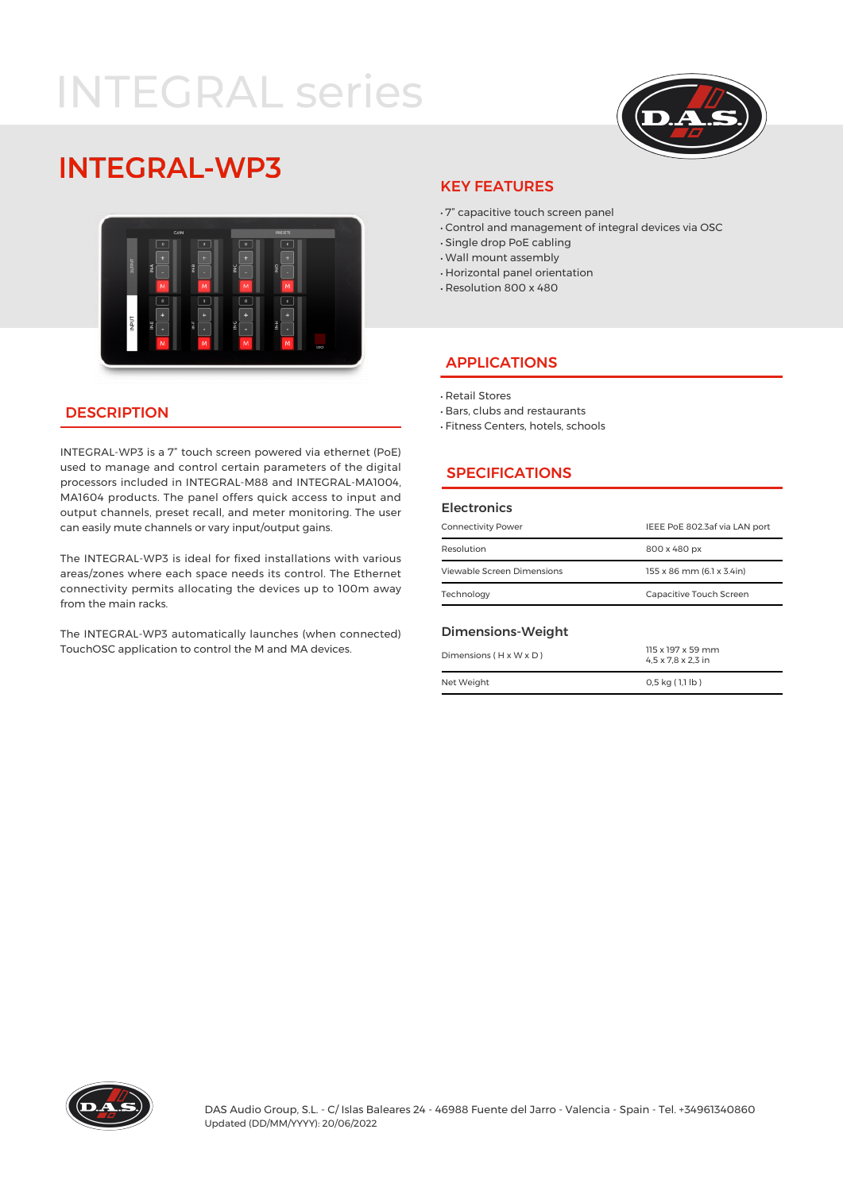# **INTEGRAL series**



# **INTEGRAL-WP3**



# KEY FEATURES

- · 7" capacitive touch screen panel
- · Control and management of integral devices via OSC
- · Single drop PoE cabling
- · Wall mount assembly
- · Horizontal panel orientation
- · Resolution 800 x 480

### APPLICATIONS

· Retail Stores

- · Bars, clubs and restaurants
- · Fitness Centers, hotels, schools

# **SPECIFICATIONS**

#### **Electronics**

| <b>Connectivity Power</b>  | IEEE PoE 802.3af via LAN port |  |
|----------------------------|-------------------------------|--|
| Resolution                 | 800 x 480 px                  |  |
| Viewable Screen Dimensions | 155 x 86 mm (6.1 x 3.4in)     |  |
| Technology                 | Capacitive Touch Screen       |  |
|                            |                               |  |

#### Dimensions-Weight

| $Dimensions$ ( $H \times W \times D$ ) | 115 x 197 x 59 mm<br>$4.5 \times 7.8 \times 2.3$ in |
|----------------------------------------|-----------------------------------------------------|
| Net Weight                             | $0.5$ kg $(1.1$ lb)                                 |

#### **DESCRIPTION**

INTEGRAL-WP3 is a 7" touch screen powered via ethernet (PoE) used to manage and control certain parameters of the digital processors included in INTEGRAL-M88 and INTEGRAL-MA1004, MA1604 products. The panel offers quick access to input and output channels, preset recall, and meter monitoring. The user can easily mute channels or vary input/output gains.

The INTEGRAL-WP3 is ideal for fixed installations with various areas/zones where each space needs its control. The Ethernet connectivity permits allocating the devices up to 100m away from the main racks.

The INTEGRAL-WP3 automatically launches (when connected) TouchOSC application to control the M and MA devices.